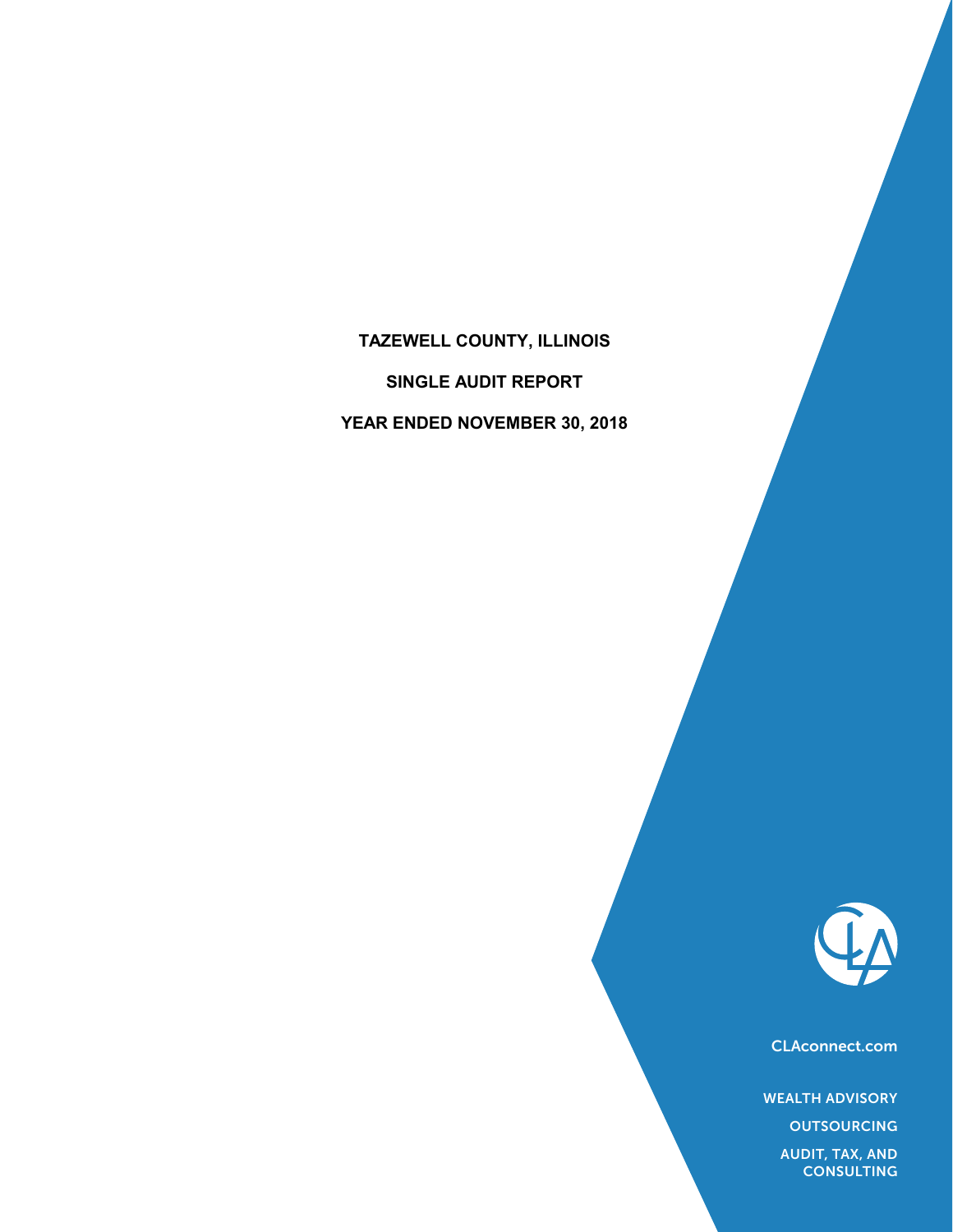# **TAZEWELL COUNTY, ILLINOIS**

**SINGLE AUDIT REPORT**

**YEAR ENDED NOVEMBER 30, 2018**



CLAconnect.com

WEALTH ADVISORY

**OUTSOURCING** 

AUDIT, TAX, AND **CONSULTING**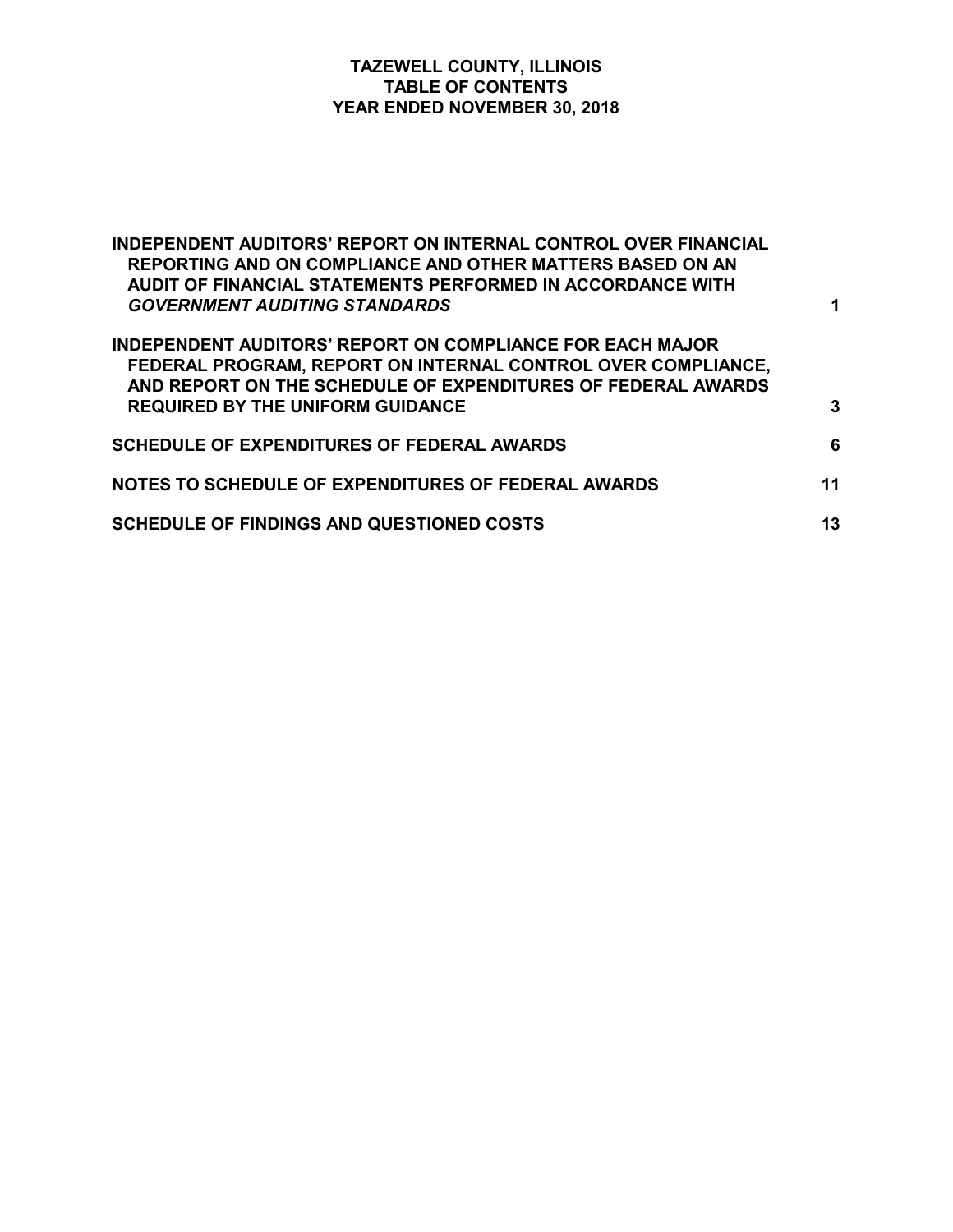# **TAZEWELL COUNTY, ILLINOIS TABLE OF CONTENTS YEAR ENDED NOVEMBER 30, 2018**

| <b>INDEPENDENT AUDITORS' REPORT ON INTERNAL CONTROL OVER FINANCIAL</b><br>REPORTING AND ON COMPLIANCE AND OTHER MATTERS BASED ON AN<br>AUDIT OF FINANCIAL STATEMENTS PERFORMED IN ACCORDANCE WITH<br><b>GOVERNMENT AUDITING STANDARDS</b>   | 1  |
|---------------------------------------------------------------------------------------------------------------------------------------------------------------------------------------------------------------------------------------------|----|
| <b>INDEPENDENT AUDITORS' REPORT ON COMPLIANCE FOR EACH MAJOR</b><br>FEDERAL PROGRAM, REPORT ON INTERNAL CONTROL OVER COMPLIANCE,<br>AND REPORT ON THE SCHEDULE OF EXPENDITURES OF FEDERAL AWARDS<br><b>REQUIRED BY THE UNIFORM GUIDANCE</b> | 3  |
| <b>SCHEDULE OF EXPENDITURES OF FEDERAL AWARDS</b>                                                                                                                                                                                           | 6  |
| NOTES TO SCHEDULE OF EXPENDITURES OF FEDERAL AWARDS                                                                                                                                                                                         | 11 |
| <b>SCHEDULE OF FINDINGS AND QUESTIONED COSTS</b>                                                                                                                                                                                            | 13 |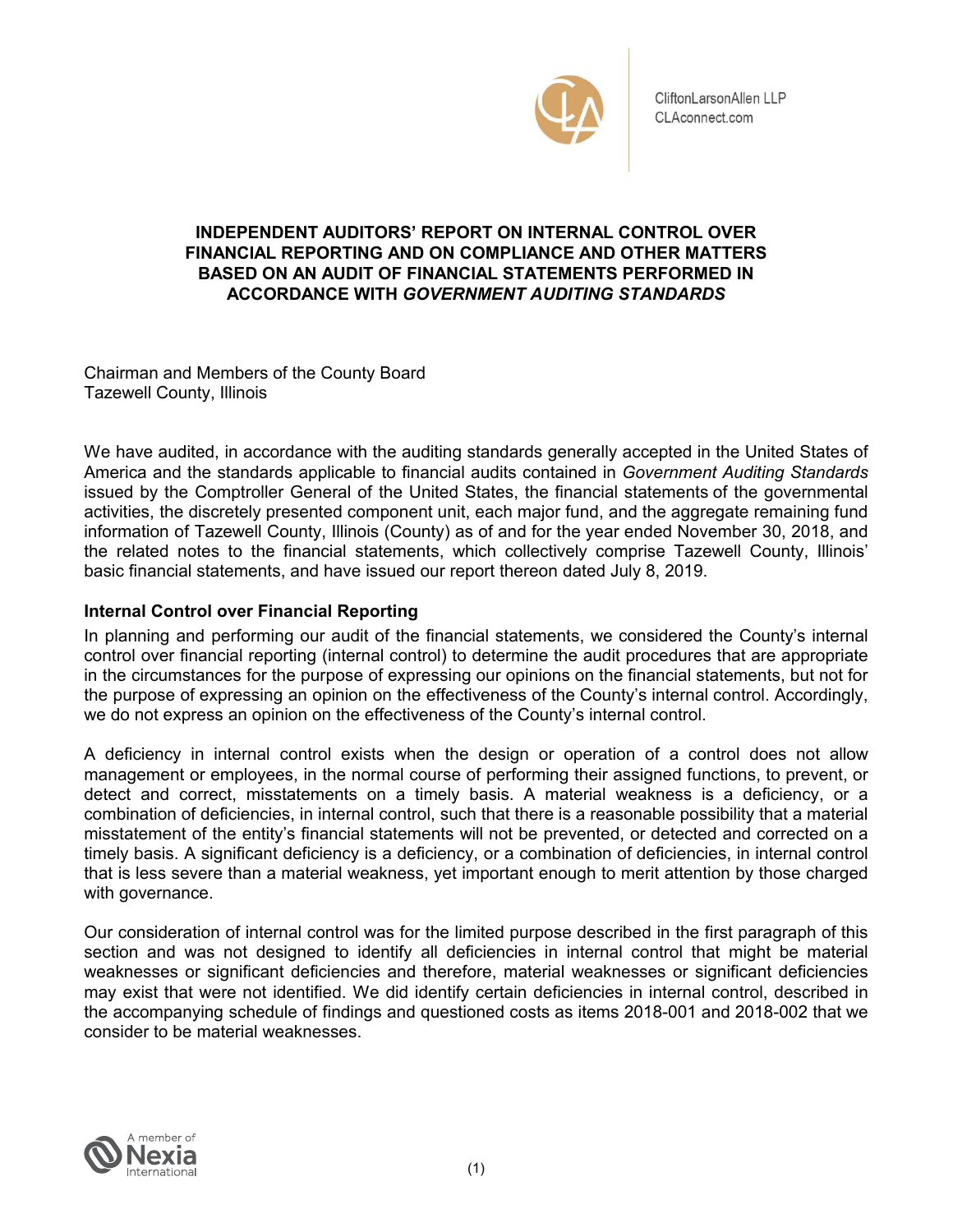

CliftonLarsonAllen LLP CLAconnect.com

# **INDEPENDENT AUDITORS' REPORT ON INTERNAL CONTROL OVER FINANCIAL REPORTING AND ON COMPLIANCE AND OTHER MATTERS BASED ON AN AUDIT OF FINANCIAL STATEMENTS PERFORMED IN ACCORDANCE WITH** *GOVERNMENT AUDITING STANDARDS*

Chairman and Members of the County Board Tazewell County, Illinois

We have audited, in accordance with the auditing standards generally accepted in the United States of America and the standards applicable to financial audits contained in *Government Auditing Standards*  issued by the Comptroller General of the United States, the financial statements of the governmental activities, the discretely presented component unit, each major fund, and the aggregate remaining fund information of Tazewell County, Illinois (County) as of and for the year ended November 30, 2018, and the related notes to the financial statements, which collectively comprise Tazewell County, Illinois' basic financial statements, and have issued our report thereon dated July 8, 2019.

# **Internal Control over Financial Reporting**

In planning and performing our audit of the financial statements, we considered the County's internal control over financial reporting (internal control) to determine the audit procedures that are appropriate in the circumstances for the purpose of expressing our opinions on the financial statements, but not for the purpose of expressing an opinion on the effectiveness of the County's internal control. Accordingly, we do not express an opinion on the effectiveness of the County's internal control.

A deficiency in internal control exists when the design or operation of a control does not allow management or employees, in the normal course of performing their assigned functions, to prevent, or detect and correct, misstatements on a timely basis. A material weakness is a deficiency, or a combination of deficiencies, in internal control, such that there is a reasonable possibility that a material misstatement of the entity's financial statements will not be prevented, or detected and corrected on a timely basis. A significant deficiency is a deficiency, or a combination of deficiencies, in internal control that is less severe than a material weakness, yet important enough to merit attention by those charged with governance.

Our consideration of internal control was for the limited purpose described in the first paragraph of this section and was not designed to identify all deficiencies in internal control that might be material weaknesses or significant deficiencies and therefore, material weaknesses or significant deficiencies may exist that were not identified. We did identify certain deficiencies in internal control, described in the accompanying schedule of findings and questioned costs as items 2018-001 and 2018-002 that we consider to be material weaknesses.

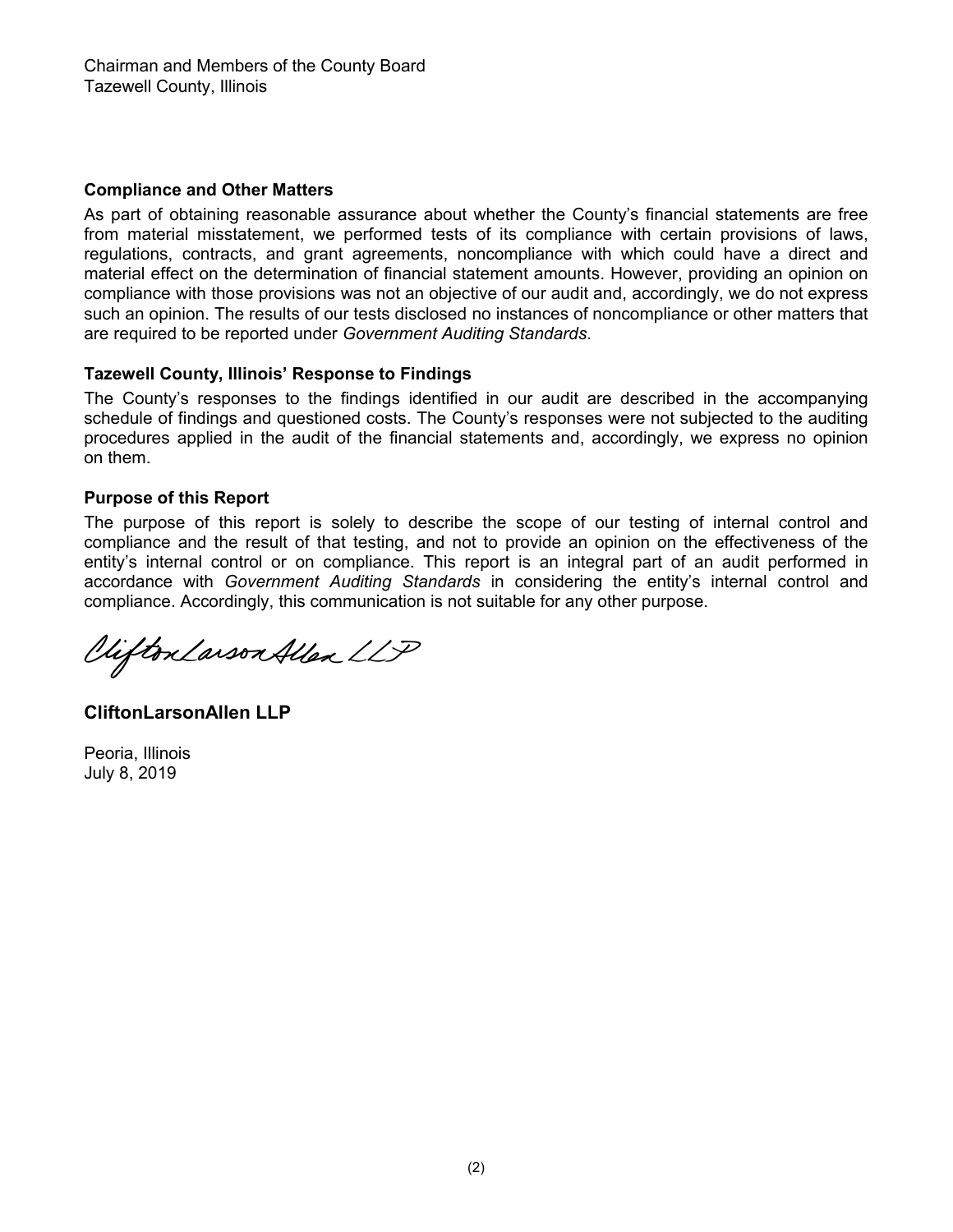## **Compliance and Other Matters**

As part of obtaining reasonable assurance about whether the County's financial statements are free from material misstatement, we performed tests of its compliance with certain provisions of laws, regulations, contracts, and grant agreements, noncompliance with which could have a direct and material effect on the determination of financial statement amounts. However, providing an opinion on compliance with those provisions was not an objective of our audit and, accordingly, we do not express such an opinion. The results of our tests disclosed no instances of noncompliance or other matters that are required to be reported under *Government Auditing Standards*.

# **Tazewell County, Illinois' Response to Findings**

The County's responses to the findings identified in our audit are described in the accompanying schedule of findings and questioned costs. The County's responses were not subjected to the auditing procedures applied in the audit of the financial statements and, accordingly, we express no opinion on them.

## **Purpose of this Report**

The purpose of this report is solely to describe the scope of our testing of internal control and compliance and the result of that testing, and not to provide an opinion on the effectiveness of the entity's internal control or on compliance. This report is an integral part of an audit performed in accordance with *Government Auditing Standards* in considering the entity's internal control and compliance. Accordingly, this communication is not suitable for any other purpose.

Vifton Larson Allen LLP

**CliftonLarsonAllen LLP**

Peoria, Illinois July 8, 2019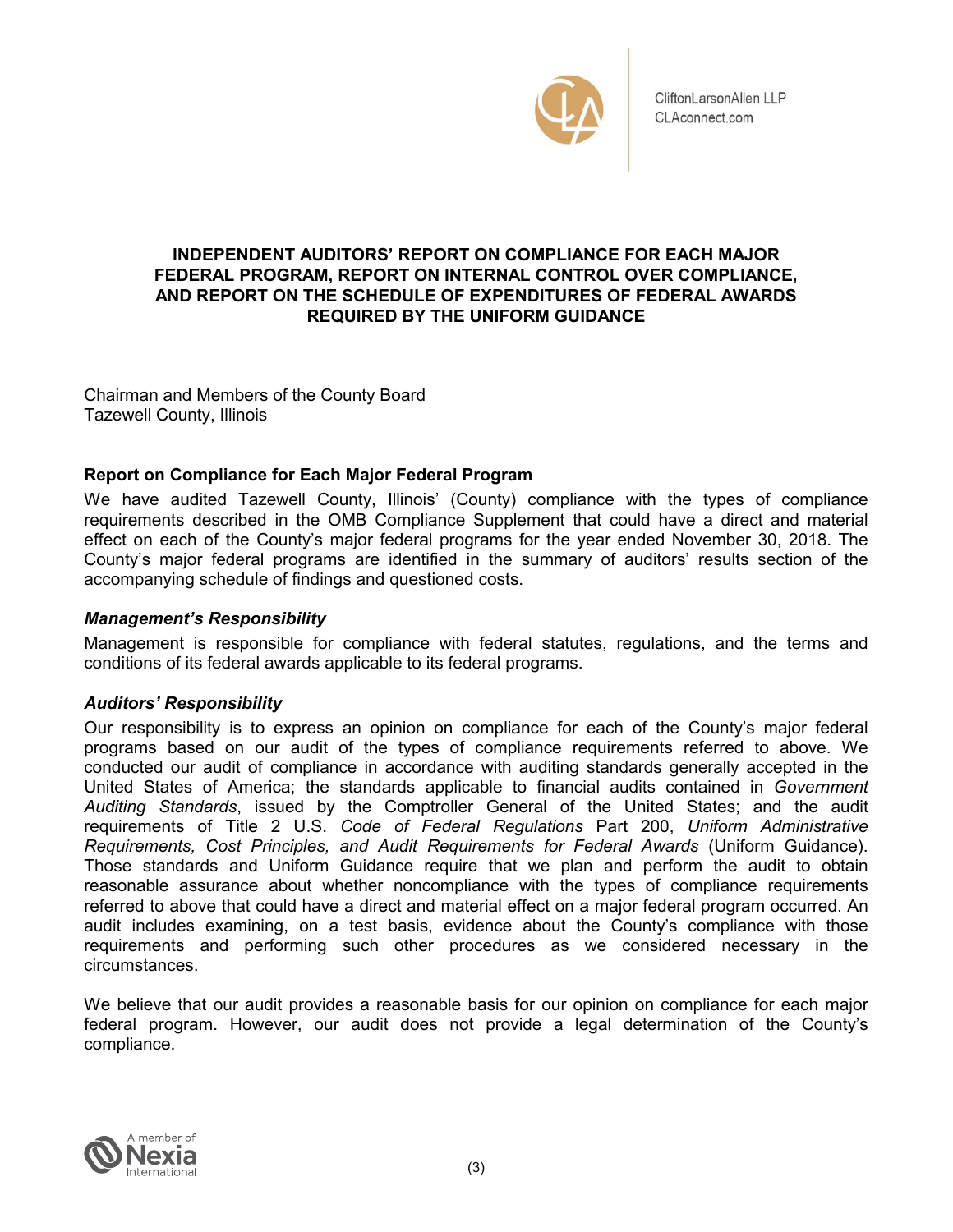

# **INDEPENDENT AUDITORS' REPORT ON COMPLIANCE FOR EACH MAJOR FEDERAL PROGRAM, REPORT ON INTERNAL CONTROL OVER COMPLIANCE, AND REPORT ON THE SCHEDULE OF EXPENDITURES OF FEDERAL AWARDS REQUIRED BY THE UNIFORM GUIDANCE**

Chairman and Members of the County Board Tazewell County, Illinois

# **Report on Compliance for Each Major Federal Program**

We have audited Tazewell County, Illinois' (County) compliance with the types of compliance requirements described in the OMB Compliance Supplement that could have a direct and material effect on each of the County's major federal programs for the year ended November 30, 2018. The County's major federal programs are identified in the summary of auditors' results section of the accompanying schedule of findings and questioned costs.

# *Management's Responsibility*

Management is responsible for compliance with federal statutes, regulations, and the terms and conditions of its federal awards applicable to its federal programs.

# *Auditors' Responsibility*

Our responsibility is to express an opinion on compliance for each of the County's major federal programs based on our audit of the types of compliance requirements referred to above. We conducted our audit of compliance in accordance with auditing standards generally accepted in the United States of America; the standards applicable to financial audits contained in *Government Auditing Standards*, issued by the Comptroller General of the United States; and the audit requirements of Title 2 U.S. *Code of Federal Regulations* Part 200, *Uniform Administrative Requirements, Cost Principles, and Audit Requirements for Federal Awards* (Uniform Guidance). Those standards and Uniform Guidance require that we plan and perform the audit to obtain reasonable assurance about whether noncompliance with the types of compliance requirements referred to above that could have a direct and material effect on a major federal program occurred. An audit includes examining, on a test basis, evidence about the County's compliance with those requirements and performing such other procedures as we considered necessary in the circumstances.

We believe that our audit provides a reasonable basis for our opinion on compliance for each major federal program. However, our audit does not provide a legal determination of the County's compliance.

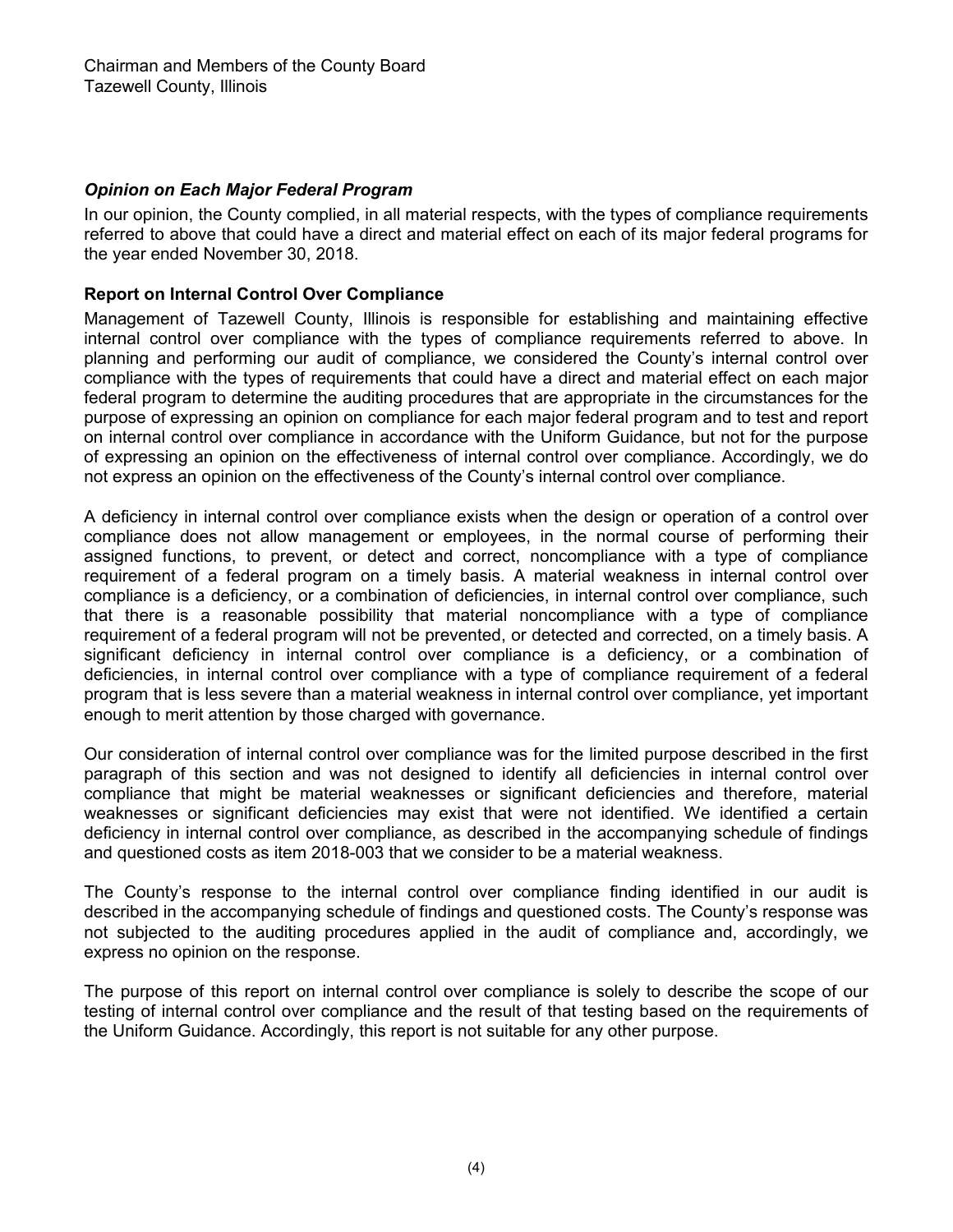# *Opinion on Each Major Federal Program*

In our opinion, the County complied, in all material respects, with the types of compliance requirements referred to above that could have a direct and material effect on each of its major federal programs for the year ended November 30, 2018.

## **Report on Internal Control Over Compliance**

Management of Tazewell County, Illinois is responsible for establishing and maintaining effective internal control over compliance with the types of compliance requirements referred to above. In planning and performing our audit of compliance, we considered the County's internal control over compliance with the types of requirements that could have a direct and material effect on each major federal program to determine the auditing procedures that are appropriate in the circumstances for the purpose of expressing an opinion on compliance for each major federal program and to test and report on internal control over compliance in accordance with the Uniform Guidance, but not for the purpose of expressing an opinion on the effectiveness of internal control over compliance. Accordingly, we do not express an opinion on the effectiveness of the County's internal control over compliance.

A deficiency in internal control over compliance exists when the design or operation of a control over compliance does not allow management or employees, in the normal course of performing their assigned functions, to prevent, or detect and correct, noncompliance with a type of compliance requirement of a federal program on a timely basis. A material weakness in internal control over compliance is a deficiency, or a combination of deficiencies, in internal control over compliance, such that there is a reasonable possibility that material noncompliance with a type of compliance requirement of a federal program will not be prevented, or detected and corrected, on a timely basis. A significant deficiency in internal control over compliance is a deficiency, or a combination of deficiencies, in internal control over compliance with a type of compliance requirement of a federal program that is less severe than a material weakness in internal control over compliance, yet important enough to merit attention by those charged with governance.

Our consideration of internal control over compliance was for the limited purpose described in the first paragraph of this section and was not designed to identify all deficiencies in internal control over compliance that might be material weaknesses or significant deficiencies and therefore, material weaknesses or significant deficiencies may exist that were not identified. We identified a certain deficiency in internal control over compliance, as described in the accompanying schedule of findings and questioned costs as item 2018-003 that we consider to be a material weakness.

The County's response to the internal control over compliance finding identified in our audit is described in the accompanying schedule of findings and questioned costs. The County's response was not subjected to the auditing procedures applied in the audit of compliance and, accordingly, we express no opinion on the response.

The purpose of this report on internal control over compliance is solely to describe the scope of our testing of internal control over compliance and the result of that testing based on the requirements of the Uniform Guidance. Accordingly, this report is not suitable for any other purpose.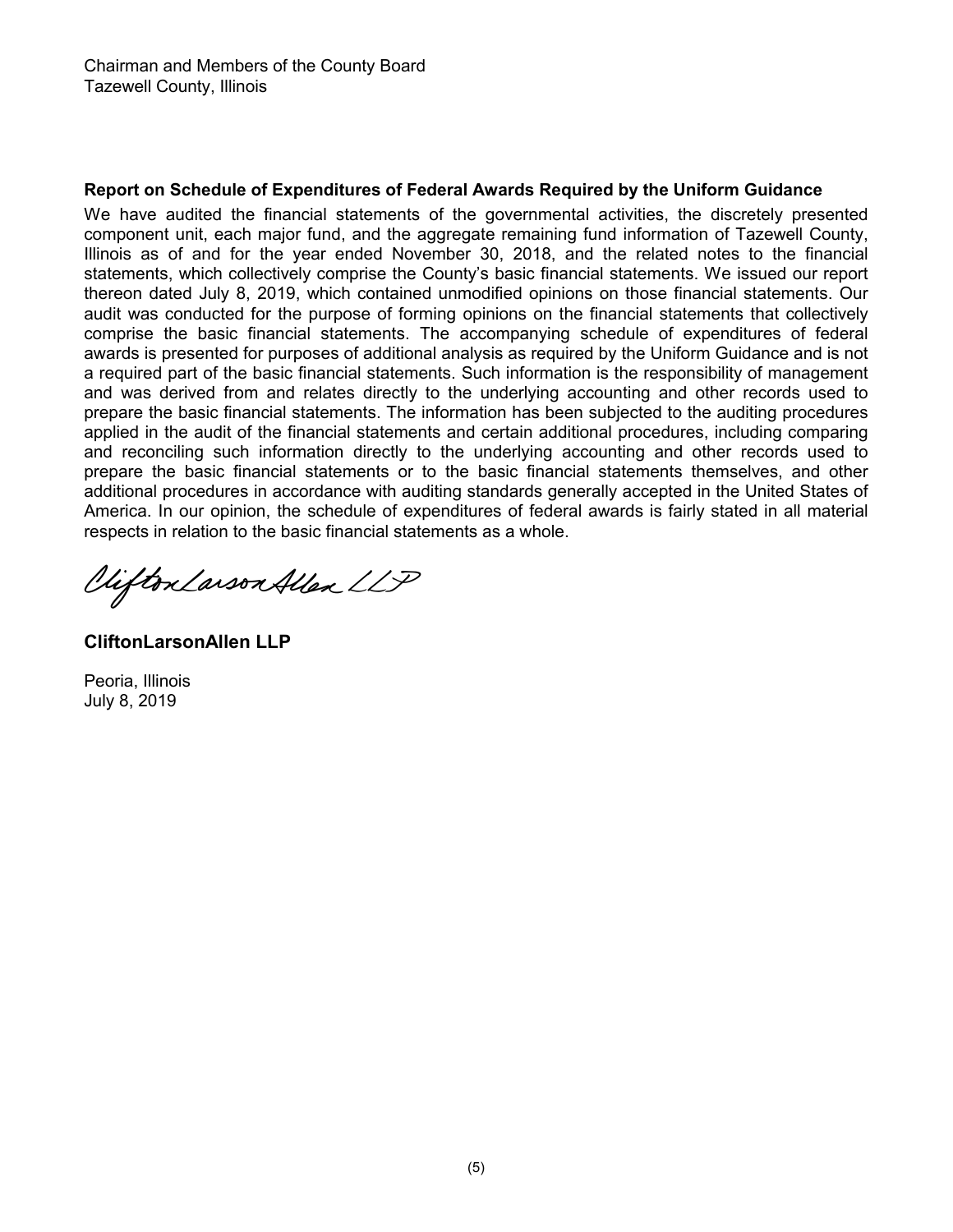# **Report on Schedule of Expenditures of Federal Awards Required by the Uniform Guidance**

We have audited the financial statements of the governmental activities, the discretely presented component unit, each major fund, and the aggregate remaining fund information of Tazewell County, Illinois as of and for the year ended November 30, 2018, and the related notes to the financial statements, which collectively comprise the County's basic financial statements. We issued our report thereon dated July 8, 2019, which contained unmodified opinions on those financial statements. Our audit was conducted for the purpose of forming opinions on the financial statements that collectively comprise the basic financial statements. The accompanying schedule of expenditures of federal awards is presented for purposes of additional analysis as required by the Uniform Guidance and is not a required part of the basic financial statements. Such information is the responsibility of management and was derived from and relates directly to the underlying accounting and other records used to prepare the basic financial statements. The information has been subjected to the auditing procedures applied in the audit of the financial statements and certain additional procedures, including comparing and reconciling such information directly to the underlying accounting and other records used to prepare the basic financial statements or to the basic financial statements themselves, and other additional procedures in accordance with auditing standards generally accepted in the United States of America. In our opinion, the schedule of expenditures of federal awards is fairly stated in all material respects in relation to the basic fina ncial statements as a whole.

Viifton Larson Allen LLP

**CliftonLarsonAllen LLP**

Peoria, Illinois July 8, 2019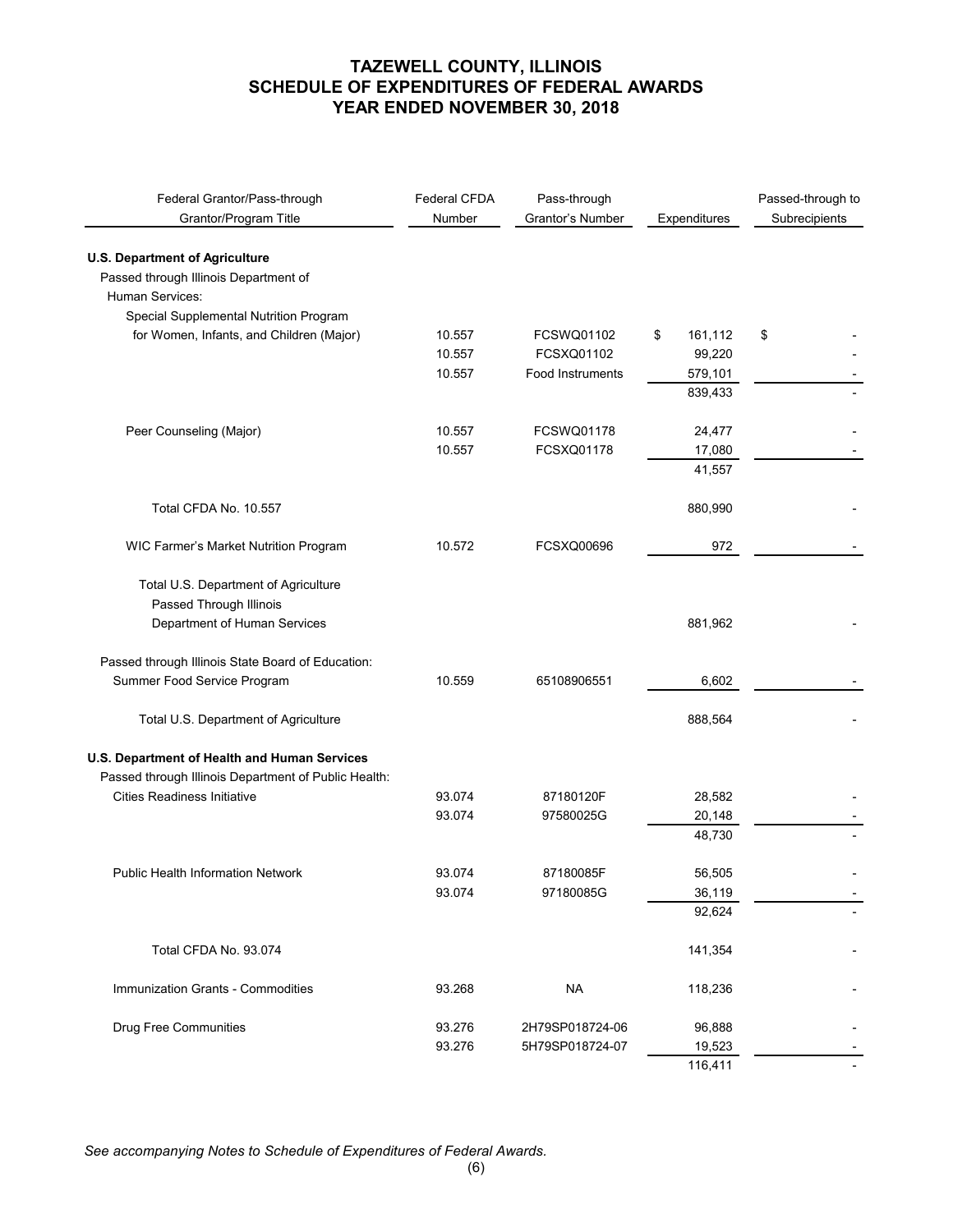| Federal Grantor/Pass-through<br>Grantor/Program Title | Federal CFDA<br>Number | Pass-through<br>Grantor's Number | Expenditures  | Passed-through to<br>Subrecipients |
|-------------------------------------------------------|------------------------|----------------------------------|---------------|------------------------------------|
| <b>U.S. Department of Agriculture</b>                 |                        |                                  |               |                                    |
| Passed through Illinois Department of                 |                        |                                  |               |                                    |
| Human Services:                                       |                        |                                  |               |                                    |
| Special Supplemental Nutrition Program                |                        |                                  |               |                                    |
| for Women, Infants, and Children (Major)              | 10.557                 | FCSWQ01102                       | \$<br>161,112 | \$                                 |
|                                                       | 10.557                 | FCSXQ01102                       | 99,220        |                                    |
|                                                       | 10.557                 | <b>Food Instruments</b>          | 579,101       |                                    |
|                                                       |                        |                                  | 839,433       |                                    |
| Peer Counseling (Major)                               | 10.557                 | FCSWQ01178                       | 24,477        |                                    |
|                                                       | 10.557                 | FCSXQ01178                       | 17,080        |                                    |
|                                                       |                        |                                  | 41,557        |                                    |
| Total CFDA No. 10.557                                 |                        |                                  | 880,990       |                                    |
| WIC Farmer's Market Nutrition Program                 | 10.572                 | FCSXQ00696                       | 972           |                                    |
|                                                       |                        |                                  |               |                                    |
| Total U.S. Department of Agriculture                  |                        |                                  |               |                                    |
| Passed Through Illinois                               |                        |                                  |               |                                    |
| Department of Human Services                          |                        |                                  | 881,962       |                                    |
| Passed through Illinois State Board of Education:     |                        |                                  |               |                                    |
| Summer Food Service Program                           | 10.559                 | 65108906551                      | 6,602         |                                    |
| Total U.S. Department of Agriculture                  |                        |                                  | 888,564       |                                    |
| U.S. Department of Health and Human Services          |                        |                                  |               |                                    |
| Passed through Illinois Department of Public Health:  |                        |                                  |               |                                    |
| <b>Cities Readiness Initiative</b>                    | 93.074                 | 87180120F                        | 28,582        |                                    |
|                                                       | 93.074                 | 97580025G                        | 20,148        |                                    |
|                                                       |                        |                                  | 48,730        |                                    |
| <b>Public Health Information Network</b>              | 93.074                 | 87180085F                        | 56.505        |                                    |
|                                                       | 93.074                 | 97180085G                        | 36,119        |                                    |
|                                                       |                        |                                  | 92,624        |                                    |
|                                                       |                        |                                  |               |                                    |
| Total CFDA No. 93.074                                 |                        |                                  | 141,354       |                                    |
| Immunization Grants - Commodities                     | 93.268                 | <b>NA</b>                        | 118,236       |                                    |
| <b>Drug Free Communities</b>                          | 93.276                 | 2H79SP018724-06                  | 96,888        |                                    |
|                                                       | 93.276                 | 5H79SP018724-07                  | 19,523        |                                    |
|                                                       |                        |                                  | 116,411       |                                    |

*See accompanying Notes to Schedule of Expenditures of Federal Awards.*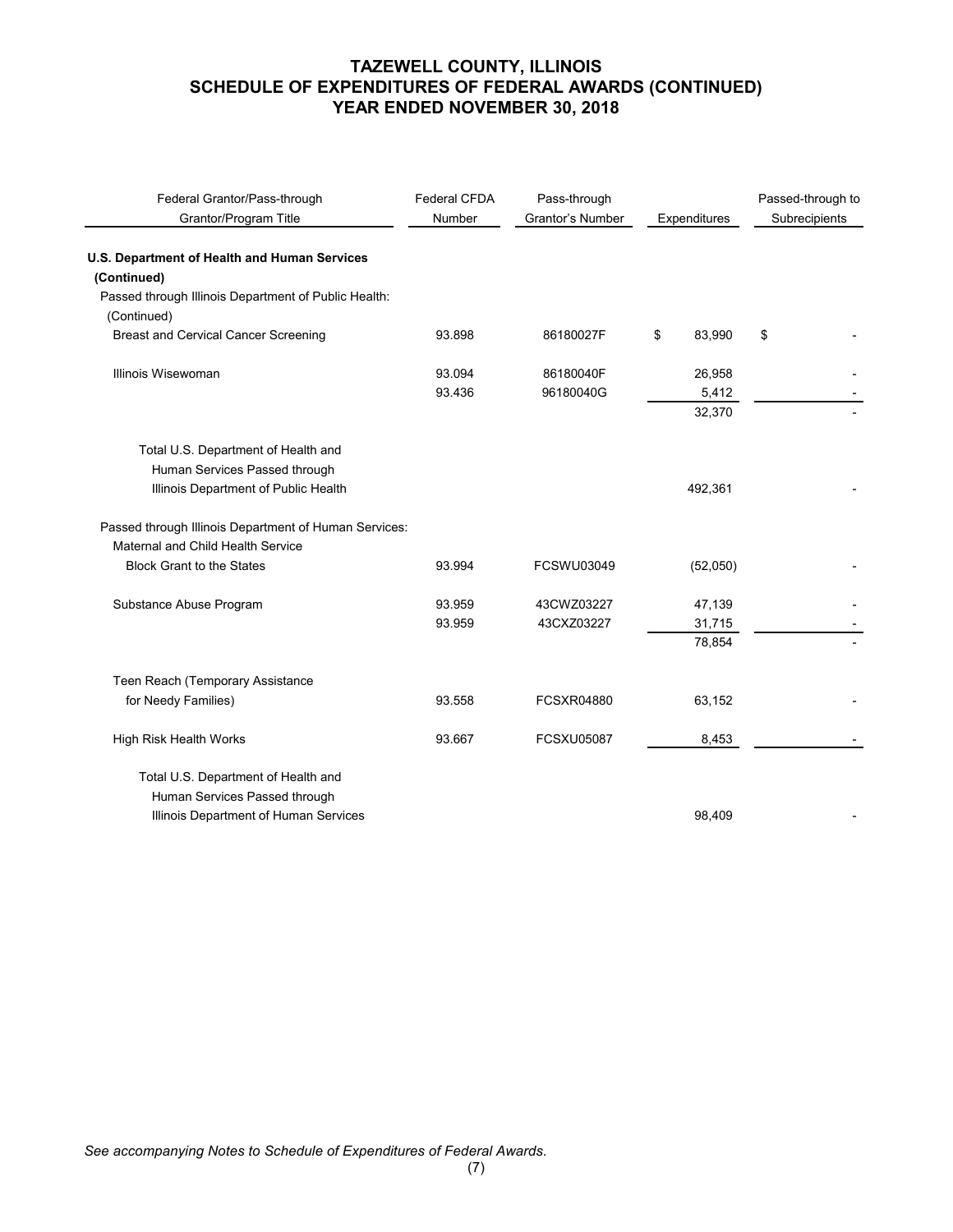| Federal Grantor/Pass-through<br>Grantor/Program Title               | Federal CFDA<br>Number | Pass-through<br>Grantor's Number<br>Expenditures |              | Passed-through to<br>Subrecipients |
|---------------------------------------------------------------------|------------------------|--------------------------------------------------|--------------|------------------------------------|
| U.S. Department of Health and Human Services                        |                        |                                                  |              |                                    |
| (Continued)                                                         |                        |                                                  |              |                                    |
| Passed through Illinois Department of Public Health:<br>(Continued) |                        |                                                  |              |                                    |
| <b>Breast and Cervical Cancer Screening</b>                         | 93.898                 | 86180027F                                        | \$<br>83,990 | \$                                 |
| Illinois Wisewoman                                                  | 93.094                 | 86180040F                                        | 26,958       |                                    |
|                                                                     | 93.436                 | 96180040G                                        | 5,412        |                                    |
|                                                                     |                        |                                                  | 32,370       |                                    |
| Total U.S. Department of Health and                                 |                        |                                                  |              |                                    |
| Human Services Passed through                                       |                        |                                                  |              |                                    |
| Illinois Department of Public Health                                |                        |                                                  | 492,361      |                                    |
| Passed through Illinois Department of Human Services:               |                        |                                                  |              |                                    |
| Maternal and Child Health Service                                   |                        |                                                  |              |                                    |
| <b>Block Grant to the States</b>                                    | 93.994                 | <b>FCSWU03049</b>                                | (52,050)     |                                    |
| Substance Abuse Program                                             | 93.959                 | 43CWZ03227                                       | 47,139       |                                    |
|                                                                     | 93.959                 | 43CXZ03227                                       | 31,715       |                                    |
|                                                                     |                        |                                                  | 78,854       |                                    |
| Teen Reach (Temporary Assistance                                    |                        |                                                  |              |                                    |
| for Needy Families)                                                 | 93.558                 | <b>FCSXR04880</b>                                | 63,152       |                                    |
| High Risk Health Works                                              | 93.667                 | <b>FCSXU05087</b>                                | 8,453        |                                    |
| Total U.S. Department of Health and                                 |                        |                                                  |              |                                    |
| Human Services Passed through                                       |                        |                                                  |              |                                    |
| Illinois Department of Human Services                               |                        |                                                  | 98,409       |                                    |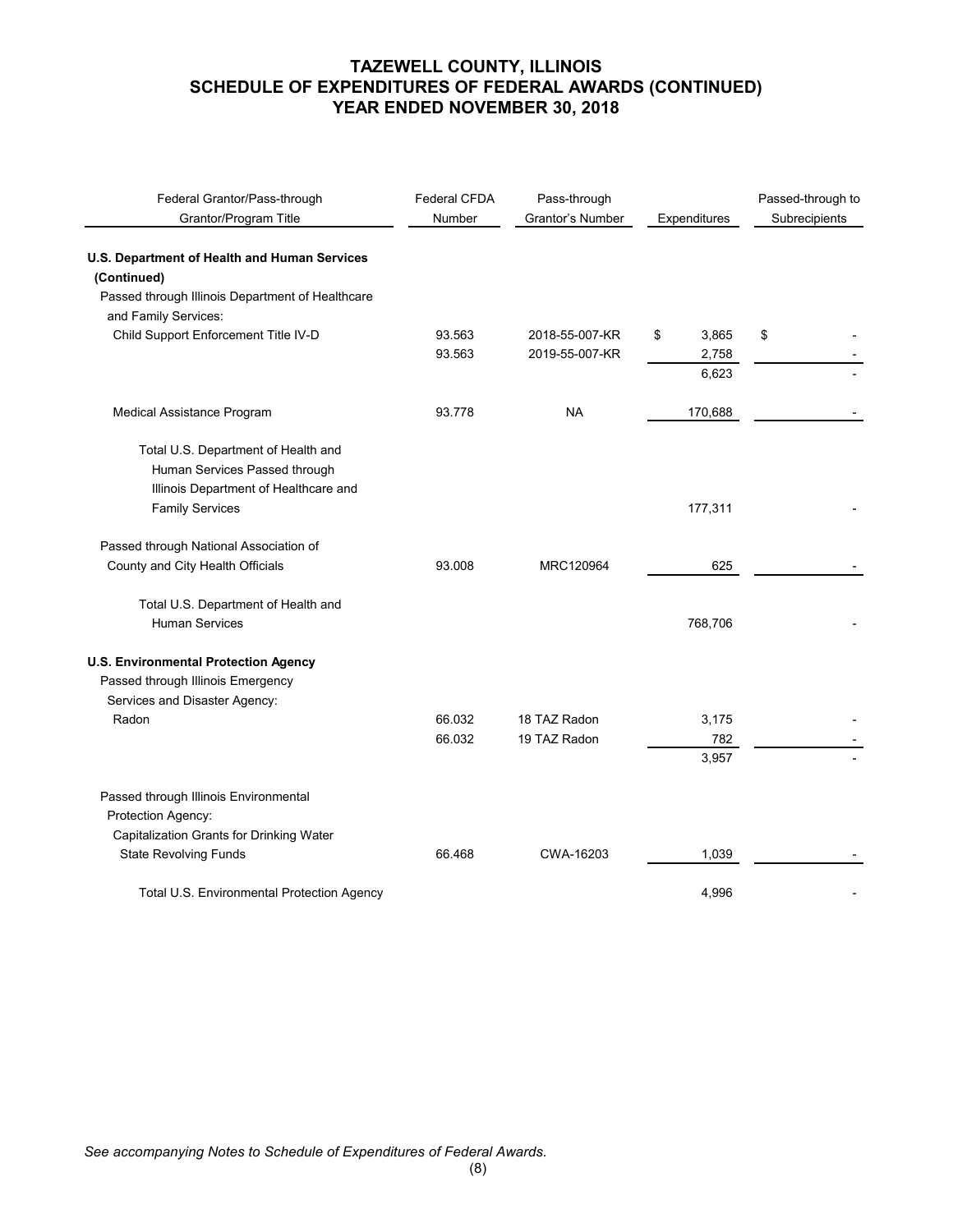| Federal Grantor/Pass-through<br>Grantor/Program Title       | <b>Federal CFDA</b><br>Number | Pass-through<br>Grantor's Number | Expenditures | Passed-through to<br>Subrecipients |
|-------------------------------------------------------------|-------------------------------|----------------------------------|--------------|------------------------------------|
|                                                             |                               |                                  |              |                                    |
| U.S. Department of Health and Human Services<br>(Continued) |                               |                                  |              |                                    |
| Passed through Illinois Department of Healthcare            |                               |                                  |              |                                    |
| and Family Services:                                        |                               |                                  |              |                                    |
| Child Support Enforcement Title IV-D                        | 93.563                        | 2018-55-007-KR                   | \$<br>3,865  | \$                                 |
|                                                             | 93.563                        | 2019-55-007-KR                   | 2,758        |                                    |
|                                                             |                               |                                  | 6,623        |                                    |
| Medical Assistance Program                                  | 93.778                        | <b>NA</b>                        | 170,688      |                                    |
|                                                             |                               |                                  |              |                                    |
| Total U.S. Department of Health and                         |                               |                                  |              |                                    |
| Human Services Passed through                               |                               |                                  |              |                                    |
| Illinois Department of Healthcare and                       |                               |                                  |              |                                    |
| <b>Family Services</b>                                      |                               |                                  | 177,311      |                                    |
| Passed through National Association of                      |                               |                                  |              |                                    |
| County and City Health Officials                            | 93.008                        | MRC120964                        | 625          |                                    |
| Total U.S. Department of Health and                         |                               |                                  |              |                                    |
| <b>Human Services</b>                                       |                               |                                  | 768,706      |                                    |
| <b>U.S. Environmental Protection Agency</b>                 |                               |                                  |              |                                    |
| Passed through Illinois Emergency                           |                               |                                  |              |                                    |
| Services and Disaster Agency:                               |                               |                                  |              |                                    |
| Radon                                                       | 66.032                        | 18 TAZ Radon                     | 3,175        |                                    |
|                                                             | 66.032                        | 19 TAZ Radon                     | 782          |                                    |
|                                                             |                               |                                  | 3,957        |                                    |
| Passed through Illinois Environmental                       |                               |                                  |              |                                    |
| Protection Agency:                                          |                               |                                  |              |                                    |
| Capitalization Grants for Drinking Water                    |                               |                                  |              |                                    |
| <b>State Revolving Funds</b>                                | 66.468                        | CWA-16203                        | 1,039        |                                    |
| Total U.S. Environmental Protection Agency                  |                               |                                  | 4,996        |                                    |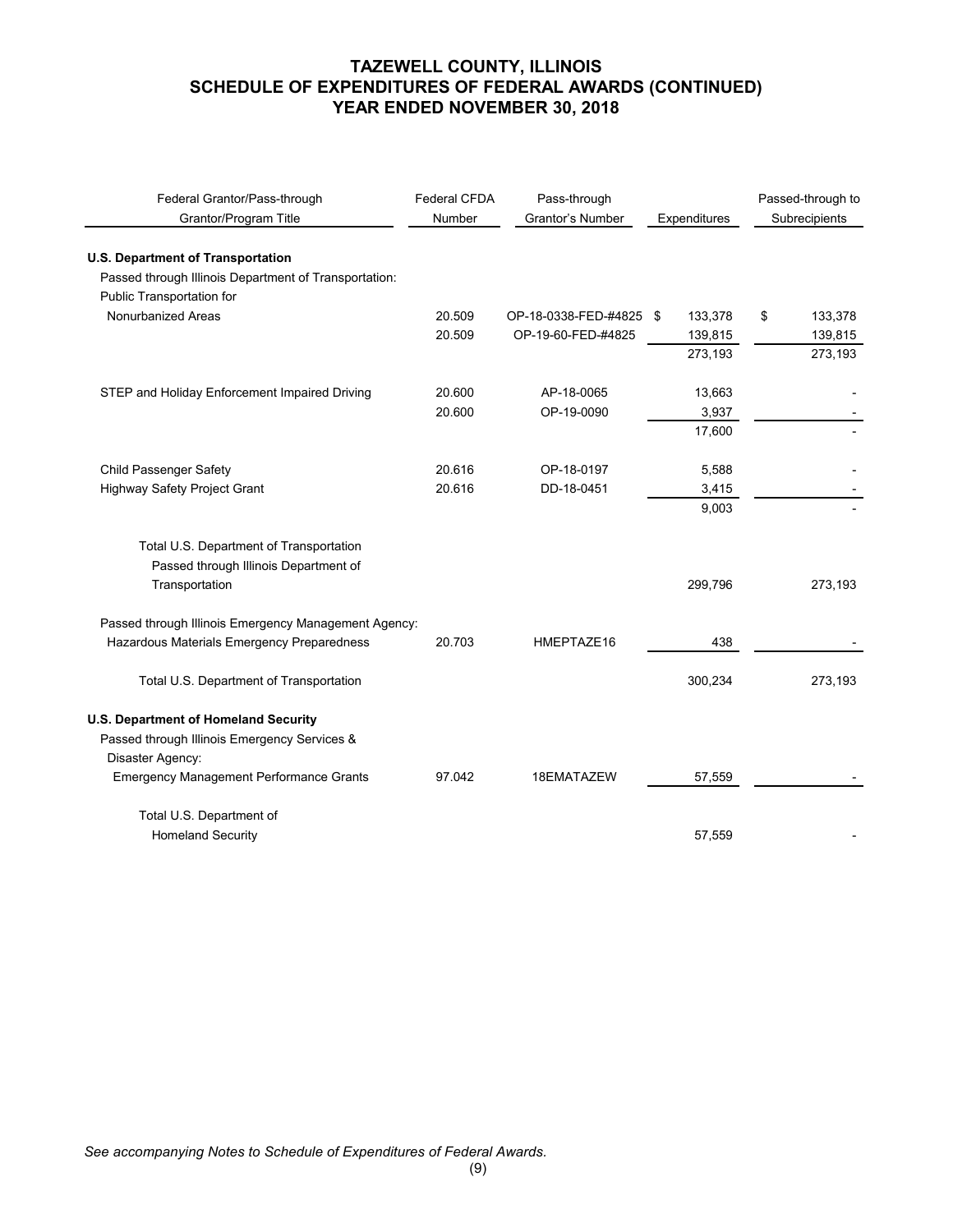| Federal Grantor/Pass-through<br>Grantor/Program Title | <b>Federal CFDA</b><br>Number | Pass-through<br>Grantor's Number | Expenditures |    | Passed-through to<br>Subrecipients |
|-------------------------------------------------------|-------------------------------|----------------------------------|--------------|----|------------------------------------|
| <b>U.S. Department of Transportation</b>              |                               |                                  |              |    |                                    |
| Passed through Illinois Department of Transportation: |                               |                                  |              |    |                                    |
| Public Transportation for                             |                               |                                  |              |    |                                    |
| Nonurbanized Areas                                    | 20.509                        | OP-18-0338-FED-#4825 \$          | 133,378      | \$ | 133,378                            |
|                                                       | 20.509                        | OP-19-60-FED-#4825               | 139,815      |    | 139,815                            |
|                                                       |                               |                                  | 273,193      |    | 273,193                            |
| STEP and Holiday Enforcement Impaired Driving         | 20.600                        | AP-18-0065                       | 13,663       |    |                                    |
|                                                       | 20.600                        | OP-19-0090                       | 3,937        |    |                                    |
|                                                       |                               |                                  | 17,600       |    |                                    |
| Child Passenger Safety                                | 20.616                        | OP-18-0197                       | 5,588        |    |                                    |
| Highway Safety Project Grant                          | 20.616                        | DD-18-0451                       | 3,415        |    |                                    |
|                                                       |                               |                                  | 9,003        |    |                                    |
| Total U.S. Department of Transportation               |                               |                                  |              |    |                                    |
| Passed through Illinois Department of                 |                               |                                  |              |    |                                    |
| Transportation                                        |                               |                                  | 299,796      |    | 273,193                            |
| Passed through Illinois Emergency Management Agency:  |                               |                                  |              |    |                                    |
| Hazardous Materials Emergency Preparedness            | 20.703                        | HMEPTAZE16                       | 438          |    |                                    |
| Total U.S. Department of Transportation               |                               |                                  | 300,234      |    | 273,193                            |
| U.S. Department of Homeland Security                  |                               |                                  |              |    |                                    |
| Passed through Illinois Emergency Services &          |                               |                                  |              |    |                                    |
| Disaster Agency:                                      |                               |                                  |              |    |                                    |
| <b>Emergency Management Performance Grants</b>        | 97.042                        | 18EMATAZEW                       | 57,559       |    |                                    |
| Total U.S. Department of                              |                               |                                  |              |    |                                    |
| <b>Homeland Security</b>                              |                               |                                  | 57,559       |    |                                    |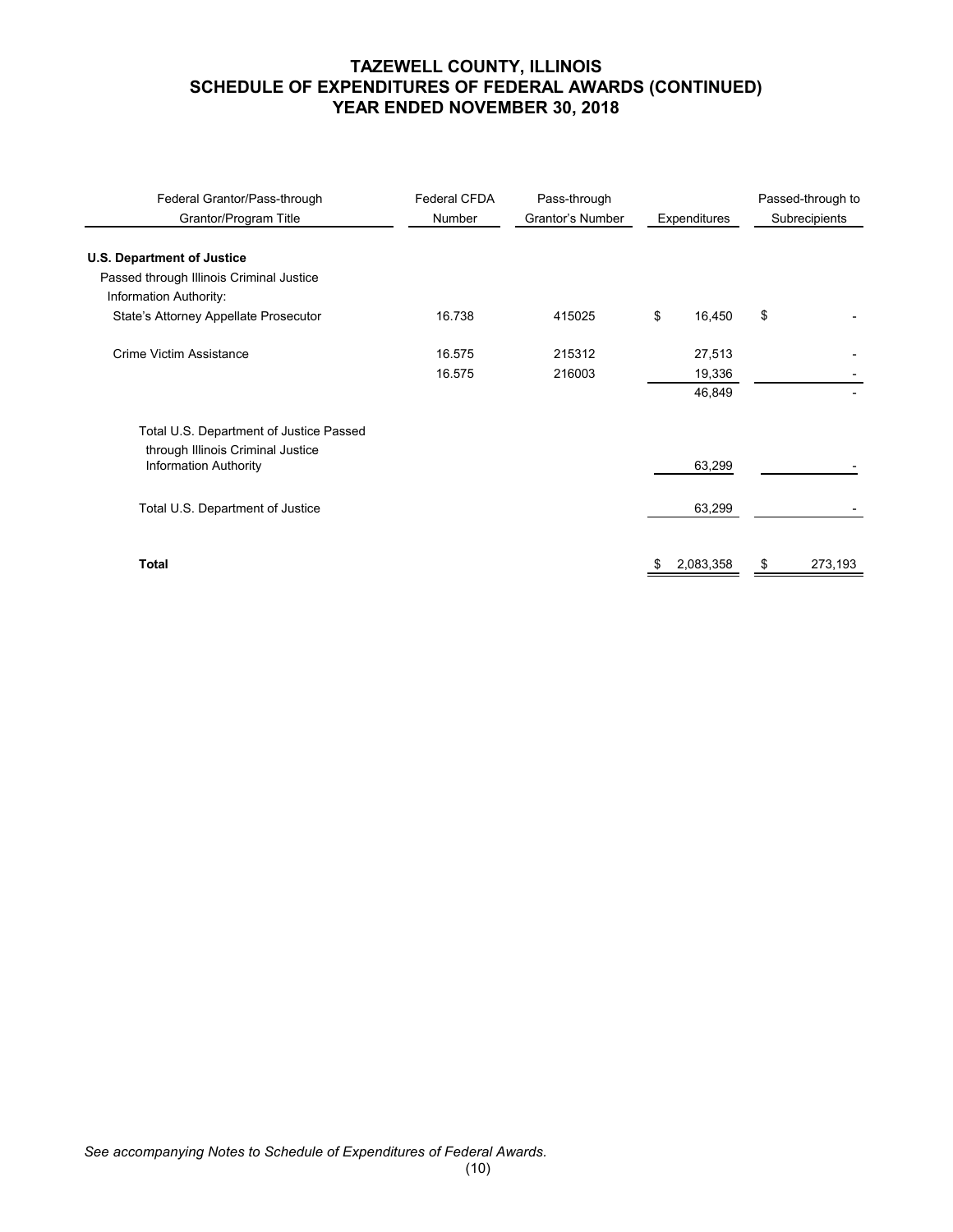| Federal Grantor/Pass-through<br>Grantor/Program Title             | Federal CFDA<br>Number | Pass-through<br>Grantor's Number | Expenditures |           |    |         |  | Passed-through to<br>Subrecipients |
|-------------------------------------------------------------------|------------------------|----------------------------------|--------------|-----------|----|---------|--|------------------------------------|
| <b>U.S. Department of Justice</b>                                 |                        |                                  |              |           |    |         |  |                                    |
| Passed through Illinois Criminal Justice                          |                        |                                  |              |           |    |         |  |                                    |
| Information Authority:                                            |                        |                                  |              |           |    |         |  |                                    |
| State's Attorney Appellate Prosecutor                             | 16.738                 | 415025                           | \$           | 16,450    | \$ |         |  |                                    |
| Crime Victim Assistance                                           | 16.575                 | 215312                           |              | 27,513    |    |         |  |                                    |
|                                                                   | 16.575                 | 216003                           |              | 19,336    |    |         |  |                                    |
|                                                                   |                        |                                  |              | 46,849    |    |         |  |                                    |
| Total U.S. Department of Justice Passed                           |                        |                                  |              |           |    |         |  |                                    |
| through Illinois Criminal Justice<br><b>Information Authority</b> |                        |                                  |              | 63,299    |    |         |  |                                    |
| Total U.S. Department of Justice                                  |                        |                                  |              | 63,299    |    |         |  |                                    |
|                                                                   |                        |                                  |              |           |    |         |  |                                    |
| <b>Total</b>                                                      |                        |                                  |              | 2,083,358 | S  | 273,193 |  |                                    |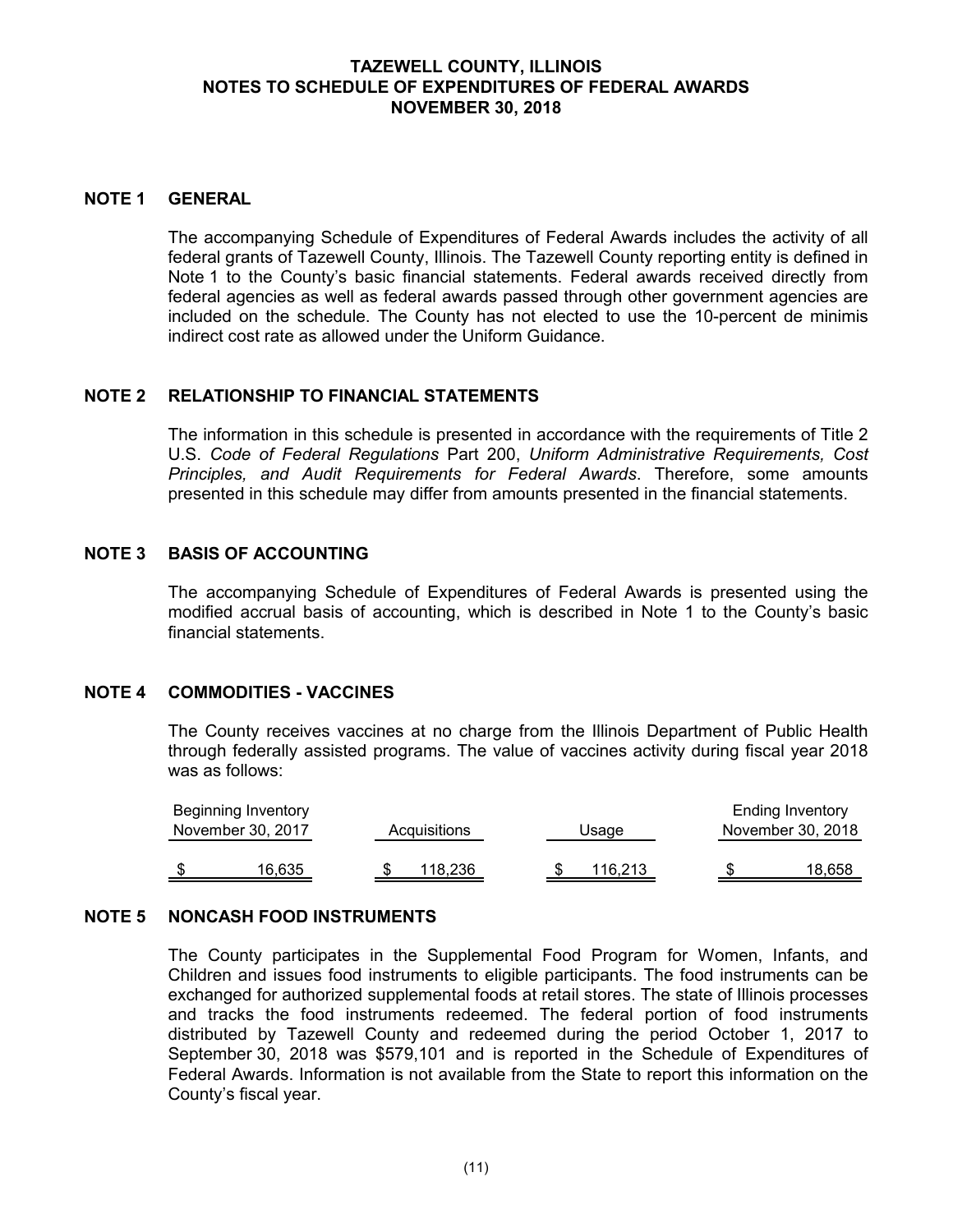# **TAZEWELL COUNTY, ILLINOIS NOTES TO SCHEDULE OF EXPENDITURES OF FEDERAL AWARDS NOVEMBER 30, 2018**

#### **NOTE 1 GENERAL**

The accompanying Schedule of Expenditures of Federal Awards includes the activity of all federal grants of Tazewell County, Illinois. The Tazewell County reporting entity is defined in Note 1 to the County's basic financial statements. Federal awards received directly from federal agencies as well as federal awards passed through other government agencies are included on the schedule. The County has not elected to use the 10-percent de minimis indirect cost rate as allowed under the Uniform Guidance.

## **NOTE 2 RELATIONSHIP TO FINANCIAL STATEMENTS**

The information in this schedule is presented in accordance with the requirements of Title 2 U.S. *Code of Federal Regulations* Part 200, *Uniform Administrative Requirements, Cost Principles, and Audit Requirements for Federal Awards*. Therefore, some amounts presented in this schedule may differ from amounts presented in the financial statements.

## **NOTE 3 BASIS OF ACCOUNTING**

The accompanying Schedule of Expenditures of Federal Awards is presented using the modified accrual basis of accounting, which is described in Note 1 to the County's basic financial statements.

#### **NOTE 4 COMMODITIES - VACCINES**

The County receives vaccines at no charge from the Illinois Department of Public Health through federally assisted programs. The value of vaccines activity during fiscal year 2018 was as follows:

| Beginning Inventory |              |         | <b>Ending Inventory</b> |
|---------------------|--------------|---------|-------------------------|
| November 30, 2017   | Acquisitions | Usage   | November 30, 2018       |
|                     |              |         |                         |
| 16,635              | 118,236      | 116.213 | 18,658                  |

#### **NOTE 5 NONCASH FOOD INSTRUMENTS**

The County participates in the Supplemental Food Program for Women, Infants, and Children and issues food instruments to eligible participants. The food instruments can be exchanged for authorized supplemental foods at retail stores. The state of Illinois processes and tracks the food instruments redeemed. The federal portion of food instruments distributed by Tazewell County and redeemed during the period October 1, 2017 to September 30, 2018 was \$579,101 and is reported in the Schedule of Expenditures of Federal Awards. Information is not available from the State to report this information on the County's fiscal year.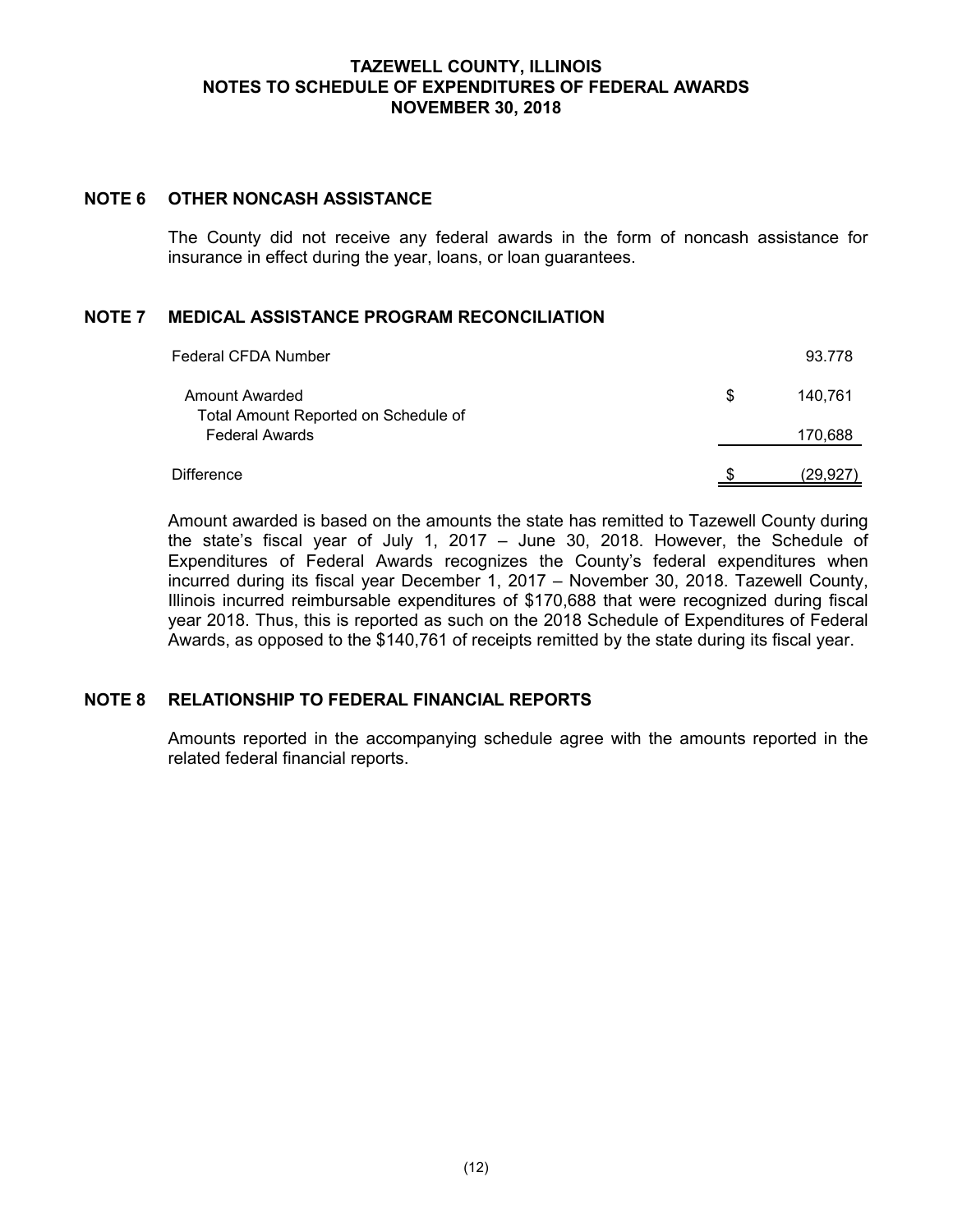# **TAZEWELL COUNTY, ILLINOIS NOTES TO SCHEDULE OF EXPENDITURES OF FEDERAL AWARDS NOVEMBER 30, 2018**

# **NOTE 6 OTHER NONCASH ASSISTANCE**

The County did not receive any federal awards in the form of noncash assistance for insurance in effect during the year, loans, or loan guarantees.

# **NOTE 7 MEDICAL ASSISTANCE PROGRAM RECONCILIATION**

| Federal CFDA Number                                           |   | 93.778   |
|---------------------------------------------------------------|---|----------|
| <b>Amount Awarded</b>                                         | S | 140.761  |
| Total Amount Reported on Schedule of<br><b>Federal Awards</b> |   | 170,688  |
| Difference                                                    |   | (29.927) |

Amount awarded is based on the amounts the state has remitted to Tazewell County during the state's fiscal year of July 1, 2017 – June 30, 2018. However, the Schedule of Expenditures of Federal Awards recognizes the County's federal expenditures when incurred during its fiscal year December 1, 2017 – November 30, 2018. Tazewell County, Illinois incurred reimbursable expenditures of \$170,688 that were recognized during fiscal year 2018. Thus, this is reported as such on the 2018 Schedule of Expenditures of Federal Awards, as opposed to the \$140,761 of receipts remitted by the state during its fiscal year.

# **NOTE 8 RELATIONSHIP TO FEDERAL FINANCIAL REPORTS**

Amounts reported in the accompanying schedule agree with the amounts reported in the related federal financial reports.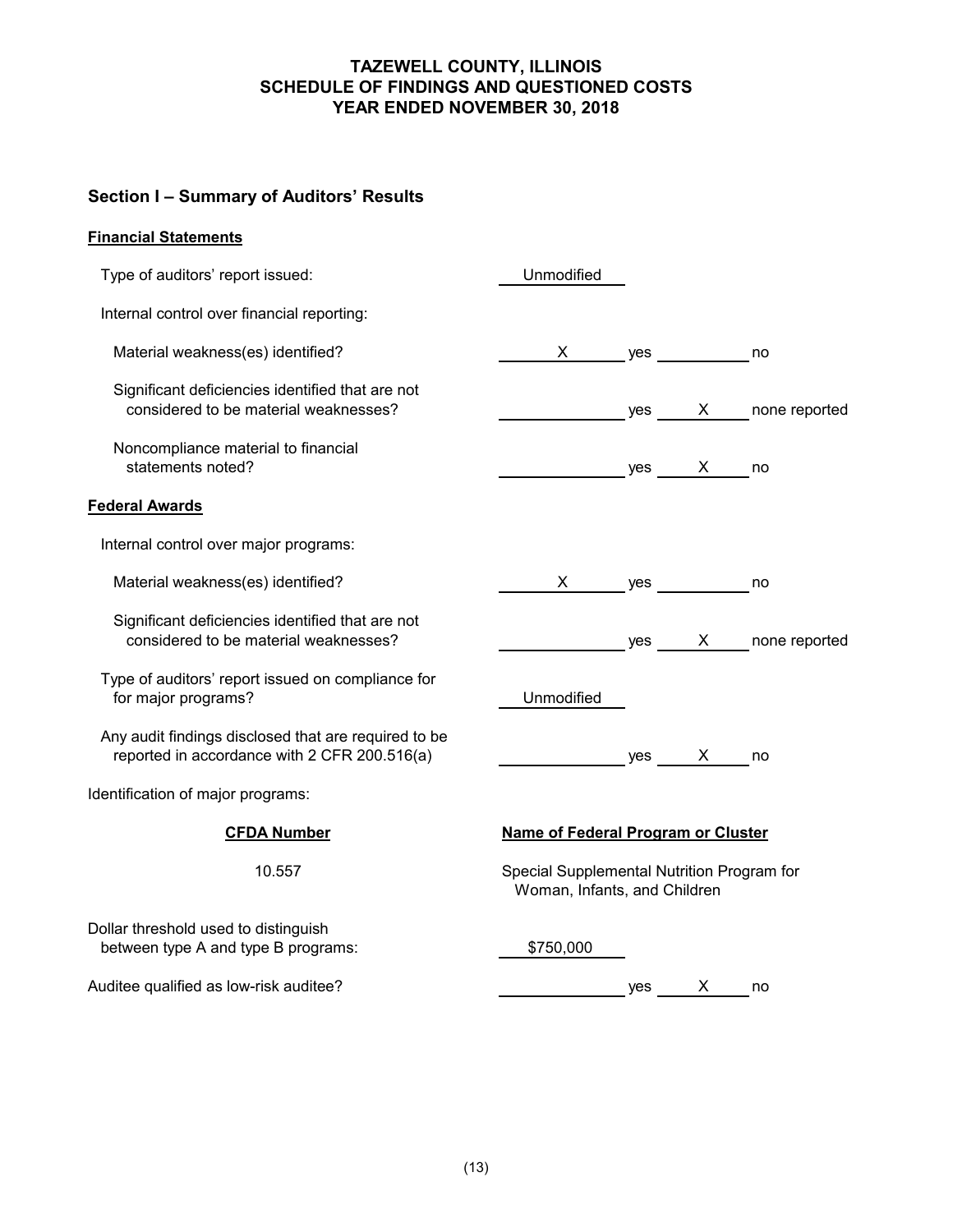# **Section I – Summary of Auditors' Results**

# **Financial Statements**

| Type of auditors' report issued:                                                                     | Unmodified                                                                 |     |          |               |
|------------------------------------------------------------------------------------------------------|----------------------------------------------------------------------------|-----|----------|---------------|
| Internal control over financial reporting:                                                           |                                                                            |     |          |               |
| Material weakness(es) identified?                                                                    | $X \sim$                                                                   | yes |          | no            |
| Significant deficiencies identified that are not<br>considered to be material weaknesses?            |                                                                            | yes | X —      | none reported |
| Noncompliance material to financial<br>statements noted?                                             |                                                                            |     | $yes$ X  | no            |
| <b>Federal Awards</b>                                                                                |                                                                            |     |          |               |
| Internal control over major programs:                                                                |                                                                            |     |          |               |
| Material weakness(es) identified?                                                                    | $\mathsf{X}$                                                               | yes |          | no            |
| Significant deficiencies identified that are not<br>considered to be material weaknesses?            |                                                                            | yes | $X \sim$ | none reported |
| Type of auditors' report issued on compliance for<br>for major programs?                             | Unmodified                                                                 |     |          |               |
| Any audit findings disclosed that are required to be<br>reported in accordance with 2 CFR 200.516(a) |                                                                            |     | yes X    | no            |
| Identification of major programs:                                                                    |                                                                            |     |          |               |
| <b>CFDA Number</b>                                                                                   | Name of Federal Program or Cluster                                         |     |          |               |
| 10.557                                                                                               | Special Supplemental Nutrition Program for<br>Woman, Infants, and Children |     |          |               |
| Dollar threshold used to distinguish<br>between type A and type B programs:                          | \$750,000                                                                  |     |          |               |
| Auditee qualified as low-risk auditee?                                                               |                                                                            | yes | X.       | no            |
|                                                                                                      |                                                                            |     |          |               |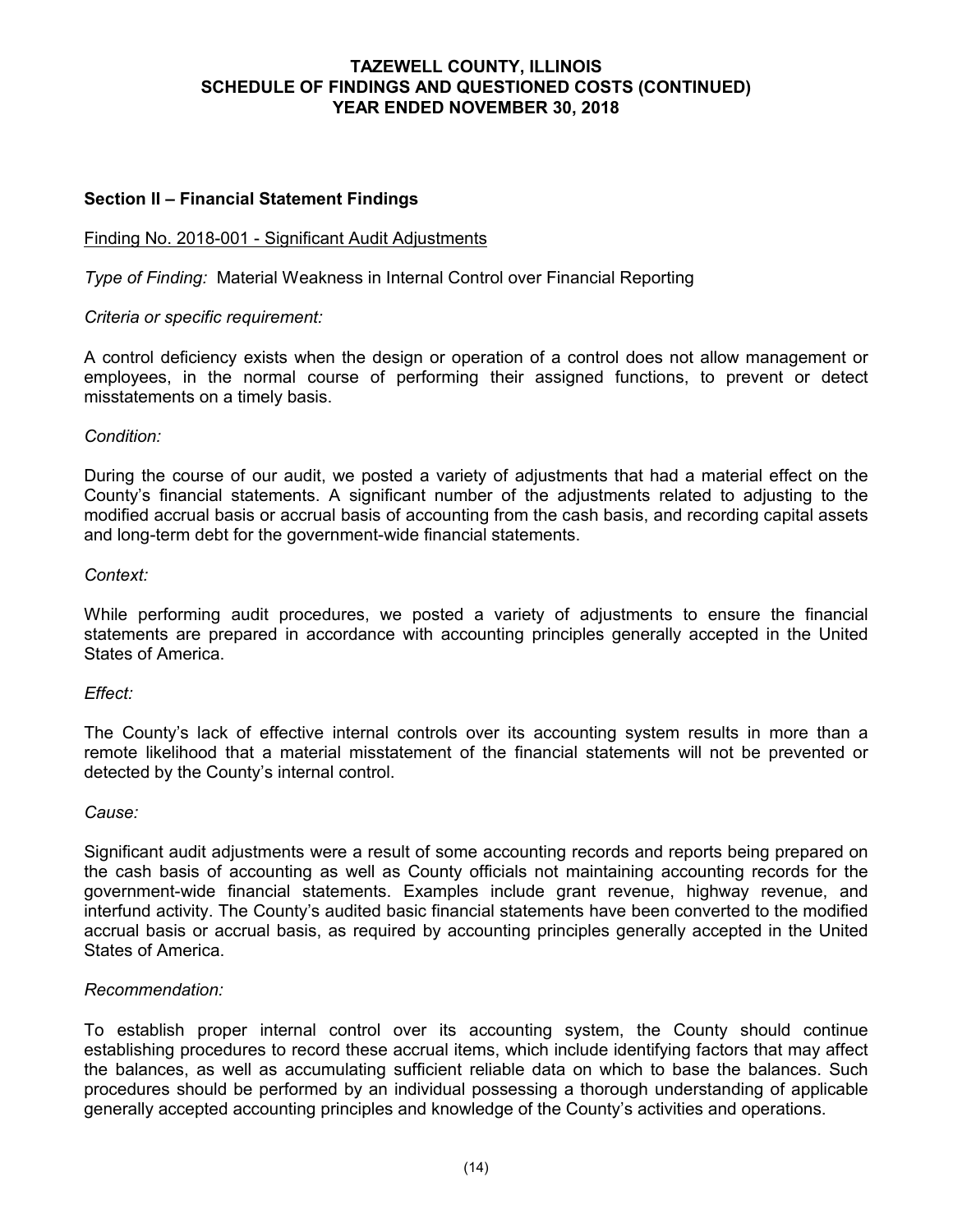# **Section II – Financial Statement Findings**

#### Finding No. 2018-001 - Significant Audit Adjustments

*Type of Finding:* Material Weakness in Internal Control over Financial Reporting

#### *Criteria or specific requirement:*

A control deficiency exists when the design or operation of a control does not allow management or employees, in the normal course of performing their assigned functions, to prevent or detect misstatements on a timely basis.

## *Condition:*

During the course of our audit, we posted a variety of adjustments that had a material effect on the County's financial statements. A significant number of the adjustments related to adjusting to the modified accrual basis or accrual basis of accounting from the cash basis, and recording capital assets and long-term debt for the government-wide financial statements.

#### *Context:*

While performing audit procedures, we posted a variety of adjustments to ensure the financial statements are prepared in accordance with accounting principles generally accepted in the United States of America.

#### *Effect:*

The County's lack of effective internal controls over its accounting system results in more than a remote likelihood that a material misstatement of the financial statements will not be prevented or detected by the County's internal control.

#### *Cause:*

Significant audit adjustments were a result of some accounting records and reports being prepared on the cash basis of accounting as well as County officials not maintaining accounting records for the government-wide financial statements. Examples include grant revenue, highway revenue, and interfund activity. The County's audited basic financial statements have been converted to the modified accrual basis or accrual basis, as required by accounting principles generally accepted in the United States of America.

#### *Recommendation:*

To establish proper internal control over its accounting system, the County should continue establishing procedures to record these accrual items, which include identifying factors that may affect the balances, as well as accumulating sufficient reliable data on which to base the balances. Such procedures should be performed by an individual possessing a thorough understanding of applicable generally accepted accounting principles and knowledge of the County's activities and operations.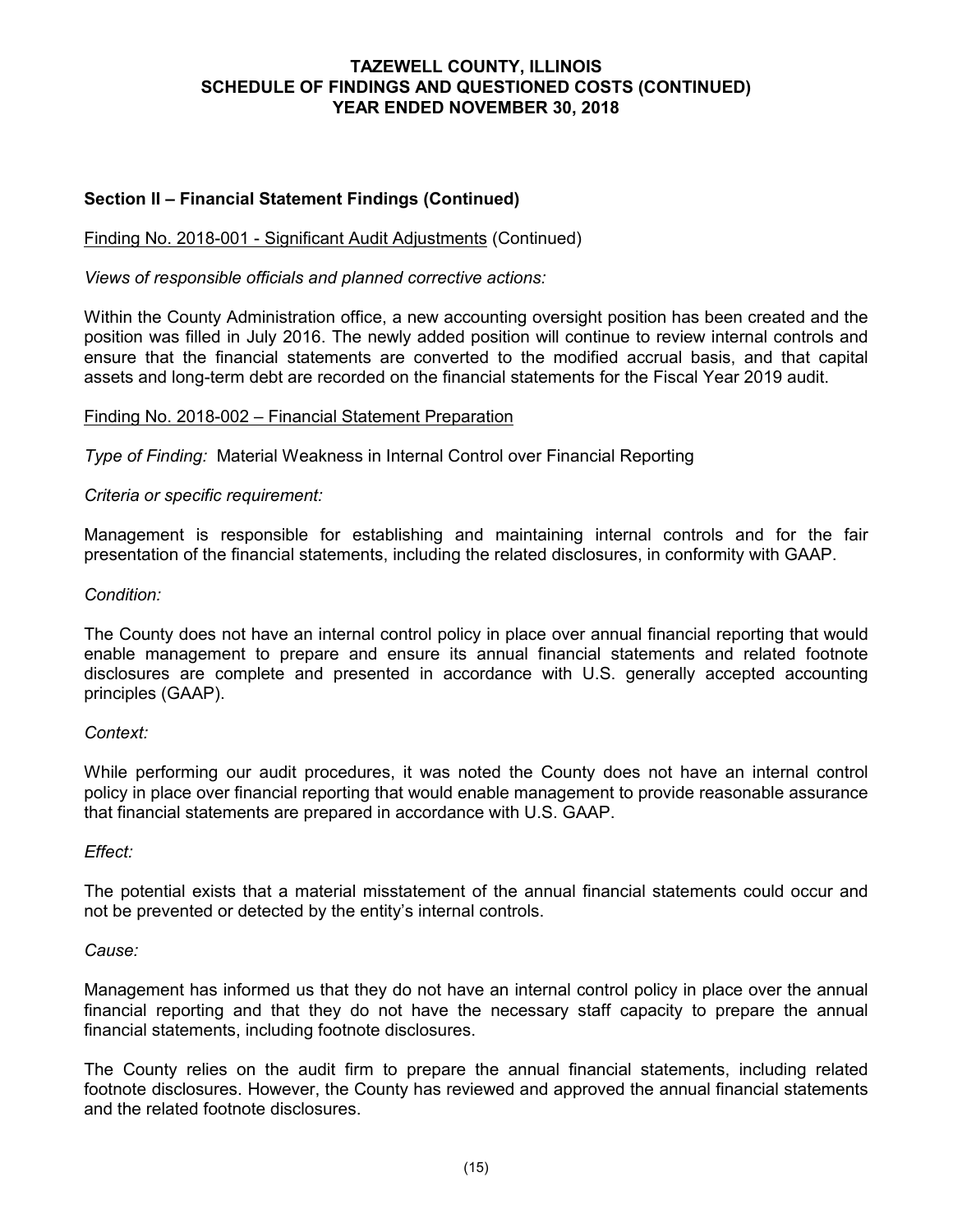# **Section II – Financial Statement Findings (Continued)**

## Finding No. 2018-001 - Significant Audit Adjustments (Continued)

*Views of responsible officials and planned corrective actions:*

Within the County Administration office, a new accounting oversight position has been created and the position was filled in July 2016. The newly added position will continue to review internal controls and ensure that the financial statements are converted to the modified accrual basis, and that capital assets and long-term debt are recorded on the financial statements for the Fiscal Year 2019 audit.

#### Finding No. 2018-002 – Financial Statement Preparation

*Type of Finding:* Material Weakness in Internal Control over Financial Reporting

## *Criteria or specific requirement:*

Management is responsible for establishing and maintaining internal controls and for the fair presentation of the financial statements, including the related disclosures, in conformity with GAAP.

#### *Condition:*

The County does not have an internal control policy in place over annual financial reporting that would enable management to prepare and ensure its annual financial statements and related footnote disclosures are complete and presented in accordance with U.S. generally accepted accounting principles (GAAP).

#### *Context:*

While performing our audit procedures, it was noted the County does not have an internal control policy in place over financial reporting that would enable management to provide reasonable assurance that financial statements are prepared in accordance with U.S. GAAP.

#### *Effect:*

The potential exists that a material misstatement of the annual financial statements could occur and not be prevented or detected by the entity's internal controls.

#### *Cause:*

Management has informed us that they do not have an internal control policy in place over the annual financial reporting and that they do not have the necessary staff capacity to prepare the annual financial statements, including footnote disclosures.

The County relies on the audit firm to prepare the annual financial statements, including related footnote disclosures. However, the County has reviewed and approved the annual financial statements and the related footnote disclosures.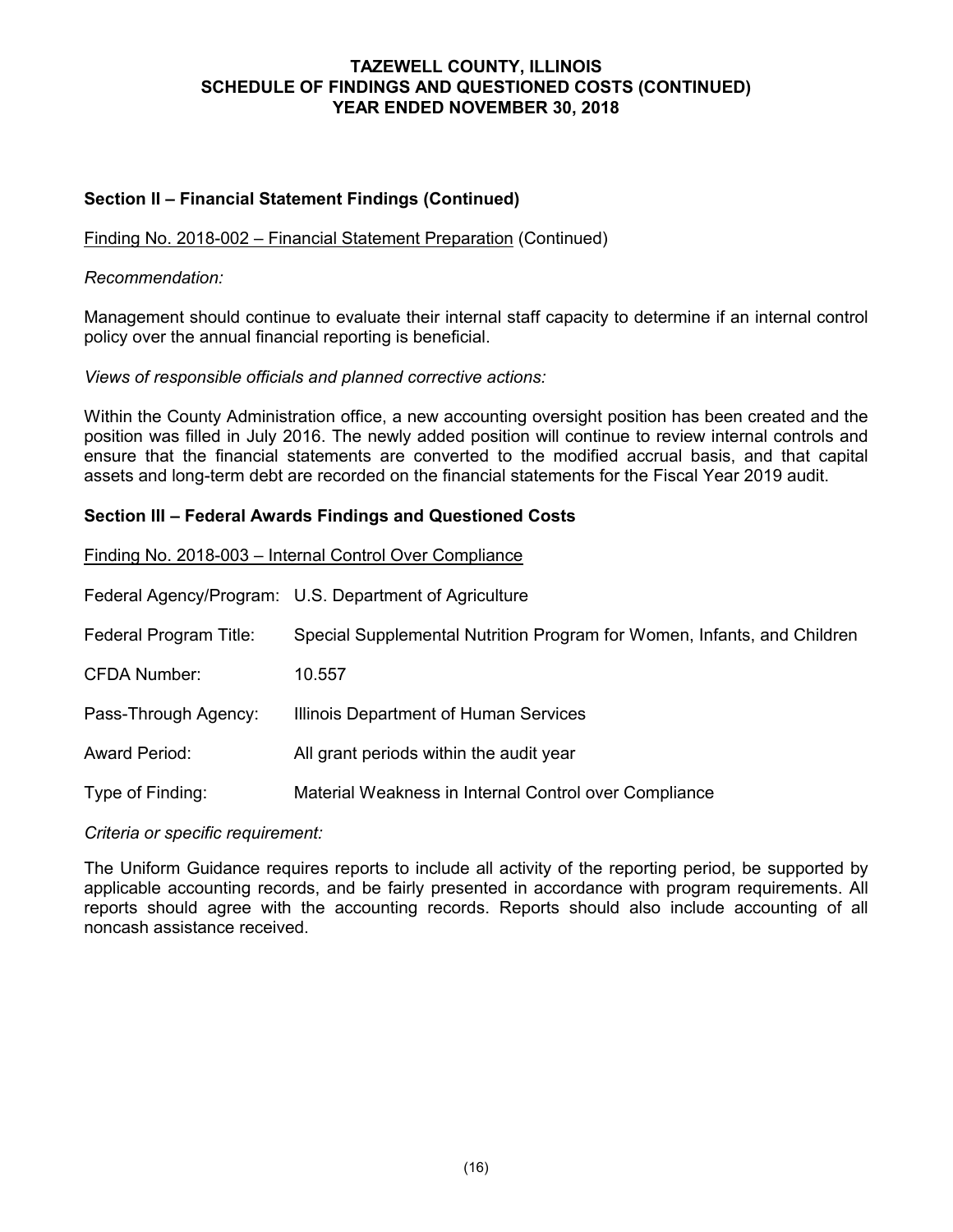# **Section II – Financial Statement Findings (Continued)**

## Finding No. 2018-002 – Financial Statement Preparation (Continued)

#### *Recommendation:*

Management should continue to evaluate their internal staff capacity to determine if an internal control policy over the annual financial reporting is beneficial.

## *Views of responsible officials and planned corrective actions:*

Within the County Administration office, a new accounting oversight position has been created and the position was filled in July 2016. The newly added position will continue to review internal controls and ensure that the financial statements are converted to the modified accrual basis, and that capital assets and long-term debt are recorded on the financial statements for the Fiscal Year 2019 audit.

#### **Section III – Federal Awards Findings and Questioned Costs**

#### Finding No. 2018-003 – Internal Control Over Compliance

Federal Agency/Program: U.S. Department of Agriculture

- Federal Program Title: Special Supplemental Nutrition Program for Women, Infants, and Children
- CFDA Number: 10.557
- Pass-Through Agency: **Illinois Department of Human Services**
- Award Period: All grant periods within the audit year
- Type of Finding: Material Weakness in Internal Control over Compliance

#### *Criteria or specific requirement:*

The Uniform Guidance requires reports to include all activity of the reporting period, be supported by applicable accounting records, and be fairly presented in accordance with program requirements. All reports should agree with the accounting records. Reports should also include accounting of all noncash assistance received.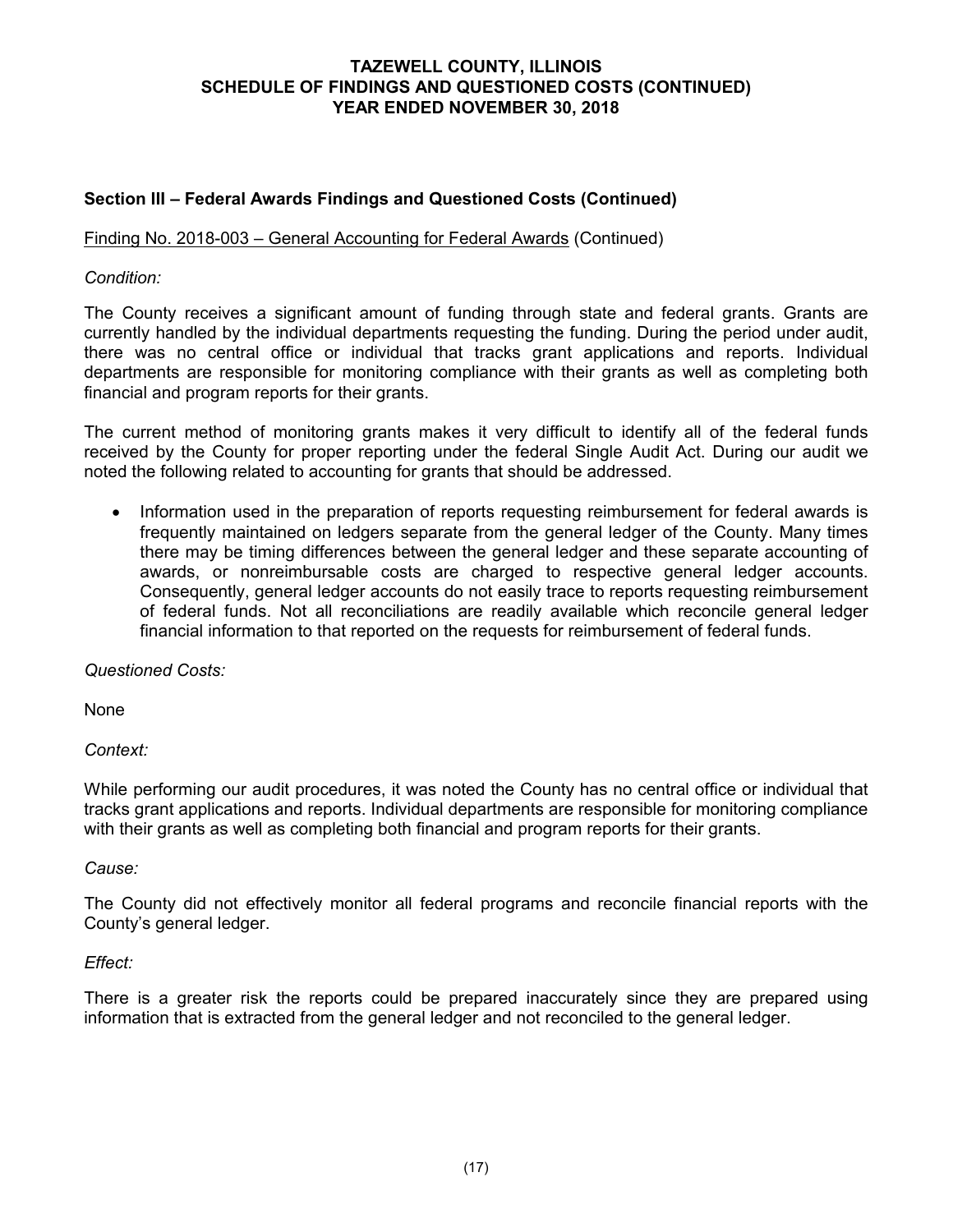# **Section III – Federal Awards Findings and Questioned Costs (Continued)**

# Finding No. 2018-003 – General Accounting for Federal Awards (Continued)

## *Condition:*

The County receives a significant amount of funding through state and federal grants. Grants are currently handled by the individual departments requesting the funding. During the period under audit, there was no central office or individual that tracks grant applications and reports. Individual departments are responsible for monitoring compliance with their grants as well as completing both financial and program reports for their grants.

The current method of monitoring grants makes it very difficult to identify all of the federal funds received by the County for proper reporting under the federal Single Audit Act. During our audit we noted the following related to accounting for grants that should be addressed.

• Information used in the preparation of reports requesting reimbursement for federal awards is frequently maintained on ledgers separate from the general ledger of the County. Many times there may be timing differences between the general ledger and these separate accounting of awards, or nonreimbursable costs are charged to respective general ledger accounts. Consequently, general ledger accounts do not easily trace to reports requesting reimbursement of federal funds. Not all reconciliations are readily available which reconcile general ledger financial information to that reported on the requests for reimbursement of federal funds.

*Questioned Costs:*

None

*Context:*

While performing our audit procedures, it was noted the County has no central office or individual that tracks grant applications and reports. Individual departments are responsible for monitoring compliance with their grants as well as completing both financial and program reports for their grants.

#### *Cause:*

The County did not effectively monitor all federal programs and reconcile financial reports with the County's general ledger.

#### *Effect:*

There is a greater risk the reports could be prepared inaccurately since they are prepared using information that is extracted from the general ledger and not reconciled to the general ledger.